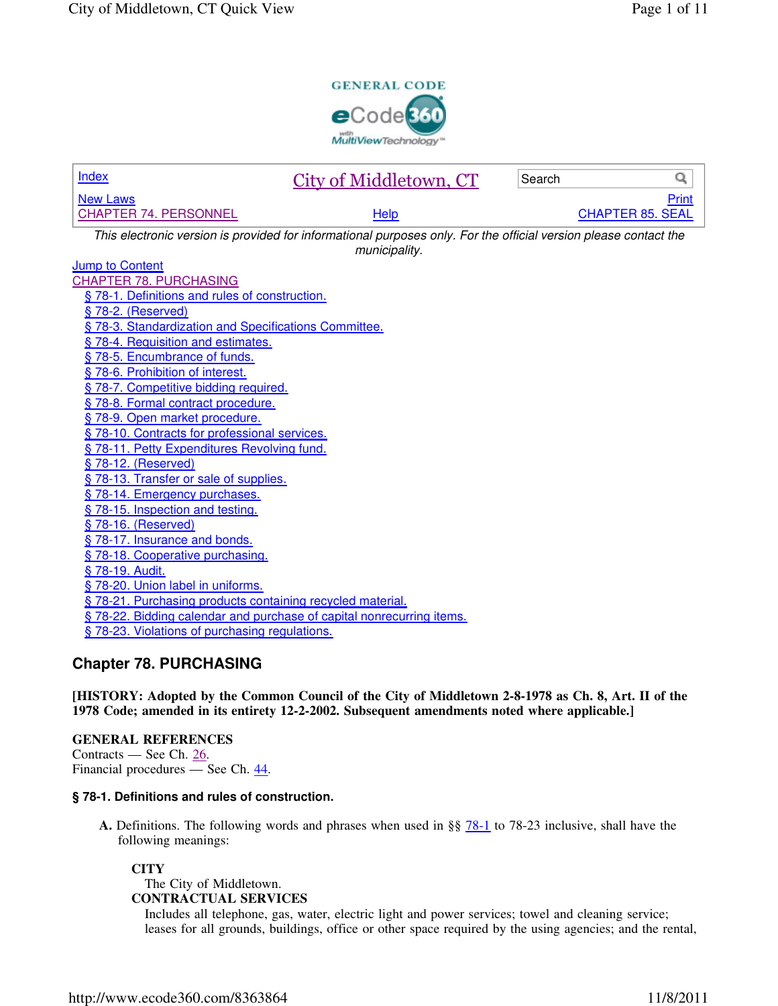

| <b>Index</b>                                                                                                     | City of Middletown, CT | Search | Q                       |  |
|------------------------------------------------------------------------------------------------------------------|------------------------|--------|-------------------------|--|
| <b>New Laws</b>                                                                                                  |                        |        | Print                   |  |
| <b>CHAPTER 74. PERSONNEL</b>                                                                                     | Help                   |        | <b>CHAPTER 85. SEAL</b> |  |
| This electronic version is provided for informational purposes only. For the official version please contact the |                        |        |                         |  |
| municipality.                                                                                                    |                        |        |                         |  |
| <b>Jump to Content</b>                                                                                           |                        |        |                         |  |
| <b>CHAPTER 78. PURCHASING</b>                                                                                    |                        |        |                         |  |
| § 78-1. Definitions and rules of construction.                                                                   |                        |        |                         |  |
| § 78-2. (Reserved)                                                                                               |                        |        |                         |  |
| § 78-3. Standardization and Specifications Committee.                                                            |                        |        |                         |  |
| § 78-4. Requisition and estimates.                                                                               |                        |        |                         |  |
| §78-5. Encumbrance of funds.                                                                                     |                        |        |                         |  |
| § 78-6. Prohibition of interest.                                                                                 |                        |        |                         |  |
| § 78-7. Competitive bidding required.                                                                            |                        |        |                         |  |
| § 78-8. Formal contract procedure.                                                                               |                        |        |                         |  |
| §78-9. Open market procedure.                                                                                    |                        |        |                         |  |
| §78-10. Contracts for professional services.                                                                     |                        |        |                         |  |
| § 78-11. Petty Expenditures Revolving fund.                                                                      |                        |        |                         |  |
| § 78-12. (Reserved)                                                                                              |                        |        |                         |  |
| § 78-13. Transfer or sale of supplies.                                                                           |                        |        |                         |  |
| §78-14. Emergency purchases.                                                                                     |                        |        |                         |  |
| §78-15. Inspection and testing.                                                                                  |                        |        |                         |  |
| § 78-16. (Reserved)                                                                                              |                        |        |                         |  |
| §78-17. Insurance and bonds.                                                                                     |                        |        |                         |  |
| § 78-18. Cooperative purchasing.                                                                                 |                        |        |                         |  |
| § 78-19. Audit.                                                                                                  |                        |        |                         |  |
| § 78-20. Union label in uniforms.                                                                                |                        |        |                         |  |
| §78-21. Purchasing products containing recycled material.                                                        |                        |        |                         |  |
| §78-22. Bidding calendar and purchase of capital nonrecurring items.                                             |                        |        |                         |  |
| § 78-23. Violations of purchasing regulations.                                                                   |                        |        |                         |  |
|                                                                                                                  |                        |        |                         |  |

# **Chapter 78. PURCHASING**

**[HISTORY: Adopted by the Common Council of the City of Middletown 2-8-1978 as Ch. 8, Art. II of the 1978 Code; amended in its entirety 12-2-2002. Subsequent amendments noted where applicable.]**

**GENERAL REFERENCES** Contracts — See Ch. 26. Financial procedures — See Ch. 44.

# **§ 78-1. Definitions and rules of construction.**

**A.** Definitions. The following words and phrases when used in §§ 78-1 to 78-23 inclusive, shall have the following meanings:

## **CITY**

The City of Middletown. **CONTRACTUAL SERVICES**

Includes all telephone, gas, water, electric light and power services; towel and cleaning service; leases for all grounds, buildings, office or other space required by the using agencies; and the rental,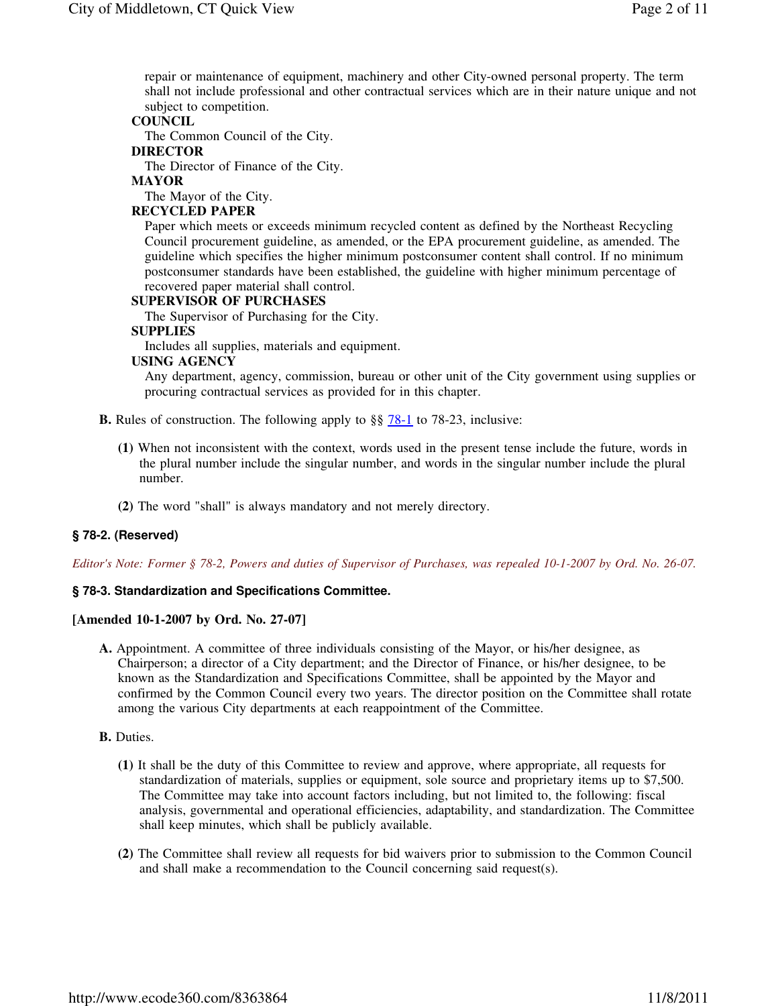repair or maintenance of equipment, machinery and other City-owned personal property. The term shall not include professional and other contractual services which are in their nature unique and not subject to competition.

### **COUNCIL**

The Common Council of the City.

## **DIRECTOR**

The Director of Finance of the City.

## **MAYOR**

The Mayor of the City.

### **RECYCLED PAPER**

Paper which meets or exceeds minimum recycled content as defined by the Northeast Recycling Council procurement guideline, as amended, or the EPA procurement guideline, as amended. The guideline which specifies the higher minimum postconsumer content shall control. If no minimum postconsumer standards have been established, the guideline with higher minimum percentage of recovered paper material shall control.

#### **SUPERVISOR OF PURCHASES**

The Supervisor of Purchasing for the City.

#### **SUPPLIES**

Includes all supplies, materials and equipment.

#### **USING AGENCY**

Any department, agency, commission, bureau or other unit of the City government using supplies or procuring contractual services as provided for in this chapter.

- **B.** Rules of construction. The following apply to §§  $\frac{78-1}{10}$  to 78-23, inclusive:
	- **(1)** When not inconsistent with the context, words used in the present tense include the future, words in the plural number include the singular number, and words in the singular number include the plural number.
	- **(2)** The word "shall" is always mandatory and not merely directory.

#### **§ 78-2. (Reserved)**

*Editor's Note: Former § 78-2, Powers and duties of Supervisor of Purchases, was repealed 10-1-2007 by Ord. No. 26-07.* 

#### **§ 78-3. Standardization and Specifications Committee.**

#### **[Amended 10-1-2007 by Ord. No. 27-07]**

**A.** Appointment. A committee of three individuals consisting of the Mayor, or his/her designee, as Chairperson; a director of a City department; and the Director of Finance, or his/her designee, to be known as the Standardization and Specifications Committee, shall be appointed by the Mayor and confirmed by the Common Council every two years. The director position on the Committee shall rotate among the various City departments at each reappointment of the Committee.

#### **B.** Duties.

- **(1)** It shall be the duty of this Committee to review and approve, where appropriate, all requests for standardization of materials, supplies or equipment, sole source and proprietary items up to \$7,500. The Committee may take into account factors including, but not limited to, the following: fiscal analysis, governmental and operational efficiencies, adaptability, and standardization. The Committee shall keep minutes, which shall be publicly available.
- **(2)** The Committee shall review all requests for bid waivers prior to submission to the Common Council and shall make a recommendation to the Council concerning said request(s).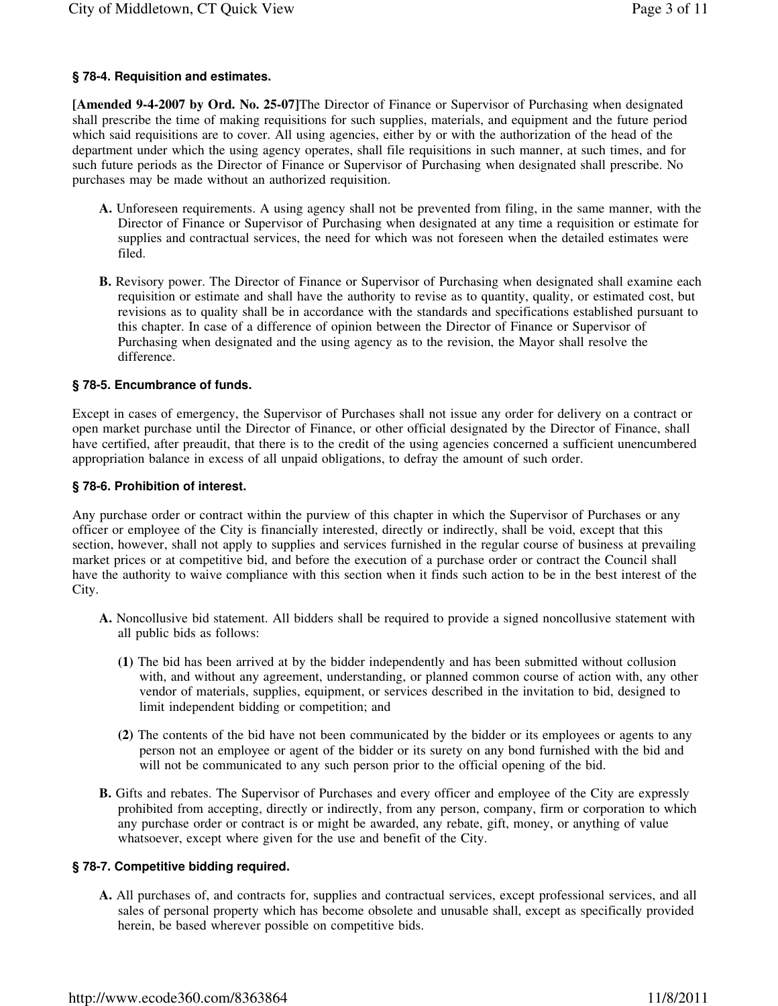# **§ 78-4. Requisition and estimates.**

**[Amended 9-4-2007 by Ord. No. 25-07]**The Director of Finance or Supervisor of Purchasing when designated shall prescribe the time of making requisitions for such supplies, materials, and equipment and the future period which said requisitions are to cover. All using agencies, either by or with the authorization of the head of the department under which the using agency operates, shall file requisitions in such manner, at such times, and for such future periods as the Director of Finance or Supervisor of Purchasing when designated shall prescribe. No purchases may be made without an authorized requisition.

- **A.** Unforeseen requirements. A using agency shall not be prevented from filing, in the same manner, with the Director of Finance or Supervisor of Purchasing when designated at any time a requisition or estimate for supplies and contractual services, the need for which was not foreseen when the detailed estimates were filed.
- **B.** Revisory power. The Director of Finance or Supervisor of Purchasing when designated shall examine each requisition or estimate and shall have the authority to revise as to quantity, quality, or estimated cost, but revisions as to quality shall be in accordance with the standards and specifications established pursuant to this chapter. In case of a difference of opinion between the Director of Finance or Supervisor of Purchasing when designated and the using agency as to the revision, the Mayor shall resolve the difference.

# **§ 78-5. Encumbrance of funds.**

Except in cases of emergency, the Supervisor of Purchases shall not issue any order for delivery on a contract or open market purchase until the Director of Finance, or other official designated by the Director of Finance, shall have certified, after preaudit, that there is to the credit of the using agencies concerned a sufficient unencumbered appropriation balance in excess of all unpaid obligations, to defray the amount of such order.

# **§ 78-6. Prohibition of interest.**

Any purchase order or contract within the purview of this chapter in which the Supervisor of Purchases or any officer or employee of the City is financially interested, directly or indirectly, shall be void, except that this section, however, shall not apply to supplies and services furnished in the regular course of business at prevailing market prices or at competitive bid, and before the execution of a purchase order or contract the Council shall have the authority to waive compliance with this section when it finds such action to be in the best interest of the City.

- **A.** Noncollusive bid statement. All bidders shall be required to provide a signed noncollusive statement with all public bids as follows:
	- **(1)** The bid has been arrived at by the bidder independently and has been submitted without collusion with, and without any agreement, understanding, or planned common course of action with, any other vendor of materials, supplies, equipment, or services described in the invitation to bid, designed to limit independent bidding or competition; and
	- **(2)** The contents of the bid have not been communicated by the bidder or its employees or agents to any person not an employee or agent of the bidder or its surety on any bond furnished with the bid and will not be communicated to any such person prior to the official opening of the bid.
- **B.** Gifts and rebates. The Supervisor of Purchases and every officer and employee of the City are expressly prohibited from accepting, directly or indirectly, from any person, company, firm or corporation to which any purchase order or contract is or might be awarded, any rebate, gift, money, or anything of value whatsoever, except where given for the use and benefit of the City.

# **§ 78-7. Competitive bidding required.**

**A.** All purchases of, and contracts for, supplies and contractual services, except professional services, and all sales of personal property which has become obsolete and unusable shall, except as specifically provided herein, be based wherever possible on competitive bids.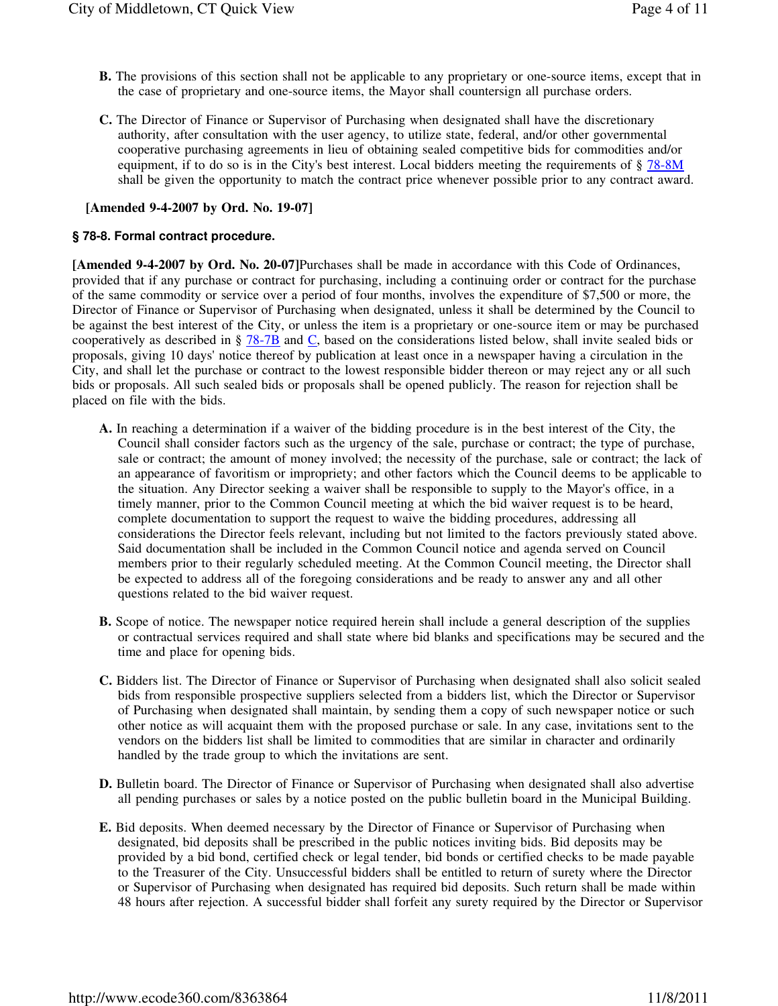- **B.** The provisions of this section shall not be applicable to any proprietary or one-source items, except that in the case of proprietary and one-source items, the Mayor shall countersign all purchase orders.
- **C.** The Director of Finance or Supervisor of Purchasing when designated shall have the discretionary authority, after consultation with the user agency, to utilize state, federal, and/or other governmental cooperative purchasing agreements in lieu of obtaining sealed competitive bids for commodities and/or equipment, if to do so is in the City's best interest. Local bidders meeting the requirements of § 78-8M shall be given the opportunity to match the contract price whenever possible prior to any contract award.

## **[Amended 9-4-2007 by Ord. No. 19-07]**

## **§ 78-8. Formal contract procedure.**

**[Amended 9-4-2007 by Ord. No. 20-07]**Purchases shall be made in accordance with this Code of Ordinances, provided that if any purchase or contract for purchasing, including a continuing order or contract for the purchase of the same commodity or service over a period of four months, involves the expenditure of \$7,500 or more, the Director of Finance or Supervisor of Purchasing when designated, unless it shall be determined by the Council to be against the best interest of the City, or unless the item is a proprietary or one-source item or may be purchased cooperatively as described in § 78-7B and C, based on the considerations listed below, shall invite sealed bids or proposals, giving 10 days' notice thereof by publication at least once in a newspaper having a circulation in the City, and shall let the purchase or contract to the lowest responsible bidder thereon or may reject any or all such bids or proposals. All such sealed bids or proposals shall be opened publicly. The reason for rejection shall be placed on file with the bids.

- **A.** In reaching a determination if a waiver of the bidding procedure is in the best interest of the City, the Council shall consider factors such as the urgency of the sale, purchase or contract; the type of purchase, sale or contract; the amount of money involved; the necessity of the purchase, sale or contract; the lack of an appearance of favoritism or impropriety; and other factors which the Council deems to be applicable to the situation. Any Director seeking a waiver shall be responsible to supply to the Mayor's office, in a timely manner, prior to the Common Council meeting at which the bid waiver request is to be heard, complete documentation to support the request to waive the bidding procedures, addressing all considerations the Director feels relevant, including but not limited to the factors previously stated above. Said documentation shall be included in the Common Council notice and agenda served on Council members prior to their regularly scheduled meeting. At the Common Council meeting, the Director shall be expected to address all of the foregoing considerations and be ready to answer any and all other questions related to the bid waiver request.
- **B.** Scope of notice. The newspaper notice required herein shall include a general description of the supplies or contractual services required and shall state where bid blanks and specifications may be secured and the time and place for opening bids.
- **C.** Bidders list. The Director of Finance or Supervisor of Purchasing when designated shall also solicit sealed bids from responsible prospective suppliers selected from a bidders list, which the Director or Supervisor of Purchasing when designated shall maintain, by sending them a copy of such newspaper notice or such other notice as will acquaint them with the proposed purchase or sale. In any case, invitations sent to the vendors on the bidders list shall be limited to commodities that are similar in character and ordinarily handled by the trade group to which the invitations are sent.
- **D.** Bulletin board. The Director of Finance or Supervisor of Purchasing when designated shall also advertise all pending purchases or sales by a notice posted on the public bulletin board in the Municipal Building.
- **E.** Bid deposits. When deemed necessary by the Director of Finance or Supervisor of Purchasing when designated, bid deposits shall be prescribed in the public notices inviting bids. Bid deposits may be provided by a bid bond, certified check or legal tender, bid bonds or certified checks to be made payable to the Treasurer of the City. Unsuccessful bidders shall be entitled to return of surety where the Director or Supervisor of Purchasing when designated has required bid deposits. Such return shall be made within 48 hours after rejection. A successful bidder shall forfeit any surety required by the Director or Supervisor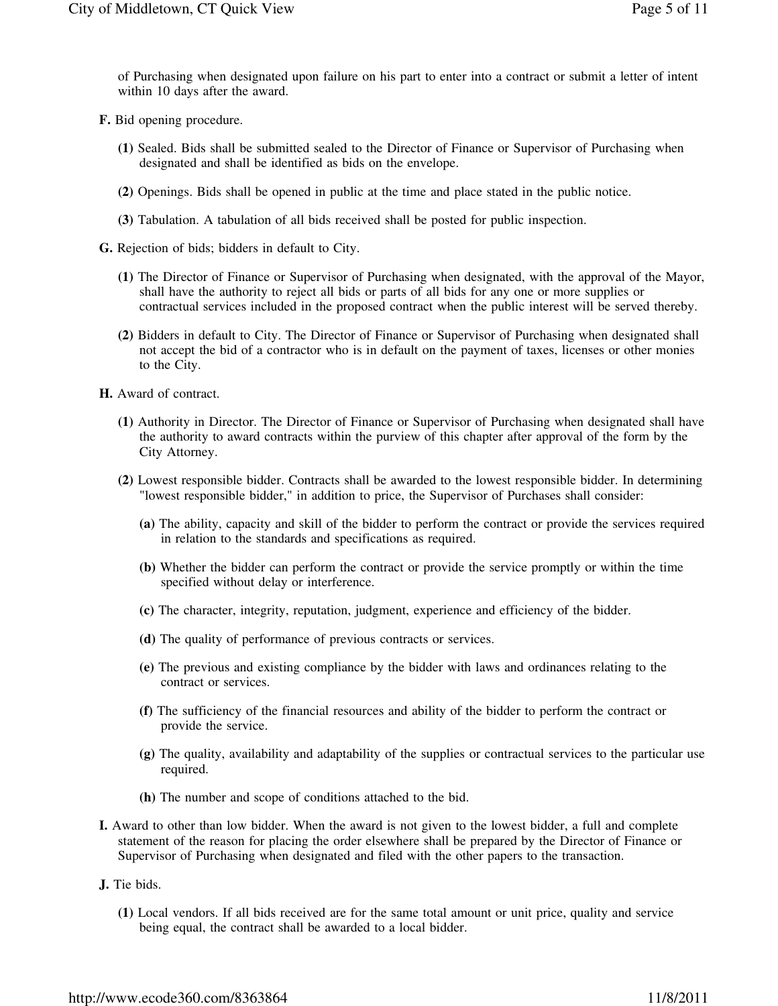of Purchasing when designated upon failure on his part to enter into a contract or submit a letter of intent within 10 days after the award.

- **F.** Bid opening procedure.
	- **(1)** Sealed. Bids shall be submitted sealed to the Director of Finance or Supervisor of Purchasing when designated and shall be identified as bids on the envelope.
	- **(2)** Openings. Bids shall be opened in public at the time and place stated in the public notice.
	- **(3)** Tabulation. A tabulation of all bids received shall be posted for public inspection.
- **G.** Rejection of bids; bidders in default to City.
	- **(1)** The Director of Finance or Supervisor of Purchasing when designated, with the approval of the Mayor, shall have the authority to reject all bids or parts of all bids for any one or more supplies or contractual services included in the proposed contract when the public interest will be served thereby.
	- **(2)** Bidders in default to City. The Director of Finance or Supervisor of Purchasing when designated shall not accept the bid of a contractor who is in default on the payment of taxes, licenses or other monies to the City.

**H.** Award of contract.

- **(1)** Authority in Director. The Director of Finance or Supervisor of Purchasing when designated shall have the authority to award contracts within the purview of this chapter after approval of the form by the City Attorney.
- **(2)** Lowest responsible bidder. Contracts shall be awarded to the lowest responsible bidder. In determining "lowest responsible bidder," in addition to price, the Supervisor of Purchases shall consider:
	- **(a)** The ability, capacity and skill of the bidder to perform the contract or provide the services required in relation to the standards and specifications as required.
	- **(b)** Whether the bidder can perform the contract or provide the service promptly or within the time specified without delay or interference.
	- **(c)** The character, integrity, reputation, judgment, experience and efficiency of the bidder.
	- **(d)** The quality of performance of previous contracts or services.
	- **(e)** The previous and existing compliance by the bidder with laws and ordinances relating to the contract or services.
	- **(f)** The sufficiency of the financial resources and ability of the bidder to perform the contract or provide the service.
	- **(g)** The quality, availability and adaptability of the supplies or contractual services to the particular use required.
	- **(h)** The number and scope of conditions attached to the bid.
- **I.** Award to other than low bidder. When the award is not given to the lowest bidder, a full and complete statement of the reason for placing the order elsewhere shall be prepared by the Director of Finance or Supervisor of Purchasing when designated and filed with the other papers to the transaction.

**J.** Tie bids.

**(1)** Local vendors. If all bids received are for the same total amount or unit price, quality and service being equal, the contract shall be awarded to a local bidder.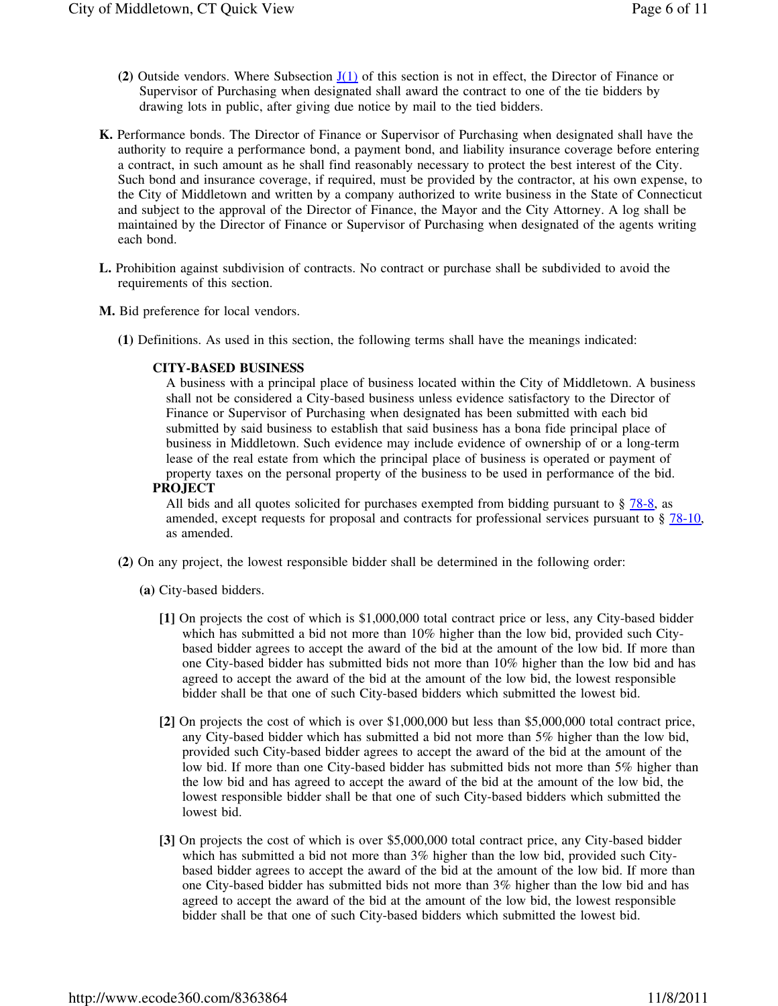- **(2)** Outside vendors. Where Subsection  $J(1)$  of this section is not in effect, the Director of Finance or Supervisor of Purchasing when designated shall award the contract to one of the tie bidders by drawing lots in public, after giving due notice by mail to the tied bidders.
- **K.** Performance bonds. The Director of Finance or Supervisor of Purchasing when designated shall have the authority to require a performance bond, a payment bond, and liability insurance coverage before entering a contract, in such amount as he shall find reasonably necessary to protect the best interest of the City. Such bond and insurance coverage, if required, must be provided by the contractor, at his own expense, to the City of Middletown and written by a company authorized to write business in the State of Connecticut and subject to the approval of the Director of Finance, the Mayor and the City Attorney. A log shall be maintained by the Director of Finance or Supervisor of Purchasing when designated of the agents writing each bond.
- **L.** Prohibition against subdivision of contracts. No contract or purchase shall be subdivided to avoid the requirements of this section.
- **M.** Bid preference for local vendors.
	- **(1)** Definitions. As used in this section, the following terms shall have the meanings indicated:

### **CITY-BASED BUSINESS**

A business with a principal place of business located within the City of Middletown. A business shall not be considered a City-based business unless evidence satisfactory to the Director of Finance or Supervisor of Purchasing when designated has been submitted with each bid submitted by said business to establish that said business has a bona fide principal place of business in Middletown. Such evidence may include evidence of ownership of or a long-term lease of the real estate from which the principal place of business is operated or payment of property taxes on the personal property of the business to be used in performance of the bid. **PROJECT**

All bids and all quotes solicited for purchases exempted from bidding pursuant to  $\S$   $78-8$ , as amended, except requests for proposal and contracts for professional services pursuant to § 78-10, as amended.

- **(2)** On any project, the lowest responsible bidder shall be determined in the following order:
	- **(a)** City-based bidders.
		- **[1]** On projects the cost of which is \$1,000,000 total contract price or less, any City-based bidder which has submitted a bid not more than 10% higher than the low bid, provided such Citybased bidder agrees to accept the award of the bid at the amount of the low bid. If more than one City-based bidder has submitted bids not more than 10% higher than the low bid and has agreed to accept the award of the bid at the amount of the low bid, the lowest responsible bidder shall be that one of such City-based bidders which submitted the lowest bid.
		- **[2]** On projects the cost of which is over \$1,000,000 but less than \$5,000,000 total contract price, any City-based bidder which has submitted a bid not more than 5% higher than the low bid, provided such City-based bidder agrees to accept the award of the bid at the amount of the low bid. If more than one City-based bidder has submitted bids not more than 5% higher than the low bid and has agreed to accept the award of the bid at the amount of the low bid, the lowest responsible bidder shall be that one of such City-based bidders which submitted the lowest bid.
		- **[3]** On projects the cost of which is over \$5,000,000 total contract price, any City-based bidder which has submitted a bid not more than 3% higher than the low bid, provided such Citybased bidder agrees to accept the award of the bid at the amount of the low bid. If more than one City-based bidder has submitted bids not more than 3% higher than the low bid and has agreed to accept the award of the bid at the amount of the low bid, the lowest responsible bidder shall be that one of such City-based bidders which submitted the lowest bid.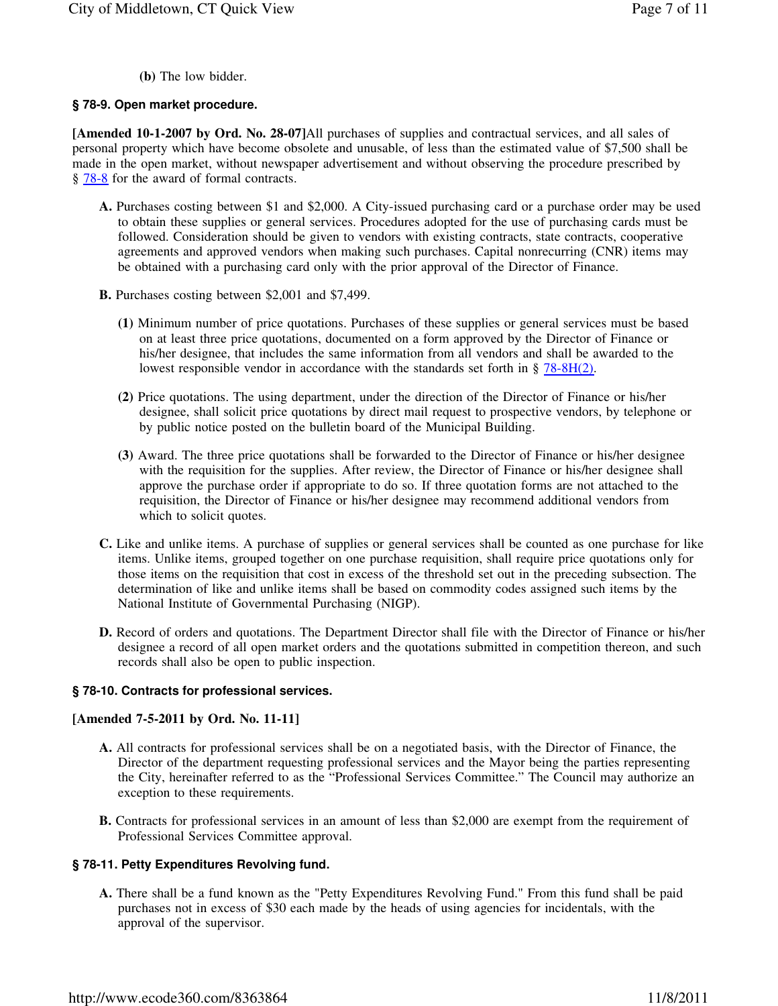**(b)** The low bidder.

## **§ 78-9. Open market procedure.**

**[Amended 10-1-2007 by Ord. No. 28-07]**All purchases of supplies and contractual services, and all sales of personal property which have become obsolete and unusable, of less than the estimated value of \$7,500 shall be made in the open market, without newspaper advertisement and without observing the procedure prescribed by § 78-8 for the award of formal contracts.

- **A.** Purchases costing between \$1 and \$2,000. A City-issued purchasing card or a purchase order may be used to obtain these supplies or general services. Procedures adopted for the use of purchasing cards must be followed. Consideration should be given to vendors with existing contracts, state contracts, cooperative agreements and approved vendors when making such purchases. Capital nonrecurring (CNR) items may be obtained with a purchasing card only with the prior approval of the Director of Finance.
- **B.** Purchases costing between \$2,001 and \$7,499.
	- **(1)** Minimum number of price quotations. Purchases of these supplies or general services must be based on at least three price quotations, documented on a form approved by the Director of Finance or his/her designee, that includes the same information from all vendors and shall be awarded to the lowest responsible vendor in accordance with the standards set forth in  $\S$  78-8H(2).
	- **(2)** Price quotations. The using department, under the direction of the Director of Finance or his/her designee, shall solicit price quotations by direct mail request to prospective vendors, by telephone or by public notice posted on the bulletin board of the Municipal Building.
	- **(3)** Award. The three price quotations shall be forwarded to the Director of Finance or his/her designee with the requisition for the supplies. After review, the Director of Finance or his/her designee shall approve the purchase order if appropriate to do so. If three quotation forms are not attached to the requisition, the Director of Finance or his/her designee may recommend additional vendors from which to solicit quotes.
- **C.** Like and unlike items. A purchase of supplies or general services shall be counted as one purchase for like items. Unlike items, grouped together on one purchase requisition, shall require price quotations only for those items on the requisition that cost in excess of the threshold set out in the preceding subsection. The determination of like and unlike items shall be based on commodity codes assigned such items by the National Institute of Governmental Purchasing (NIGP).
- **D.** Record of orders and quotations. The Department Director shall file with the Director of Finance or his/her designee a record of all open market orders and the quotations submitted in competition thereon, and such records shall also be open to public inspection.

### **§ 78-10. Contracts for professional services.**

## **[Amended 7-5-2011 by Ord. No. 11-11]**

- **A.** All contracts for professional services shall be on a negotiated basis, with the Director of Finance, the Director of the department requesting professional services and the Mayor being the parties representing the City, hereinafter referred to as the "Professional Services Committee." The Council may authorize an exception to these requirements.
- **B.** Contracts for professional services in an amount of less than \$2,000 are exempt from the requirement of Professional Services Committee approval.

## **§ 78-11. Petty Expenditures Revolving fund.**

**A.** There shall be a fund known as the "Petty Expenditures Revolving Fund." From this fund shall be paid purchases not in excess of \$30 each made by the heads of using agencies for incidentals, with the approval of the supervisor.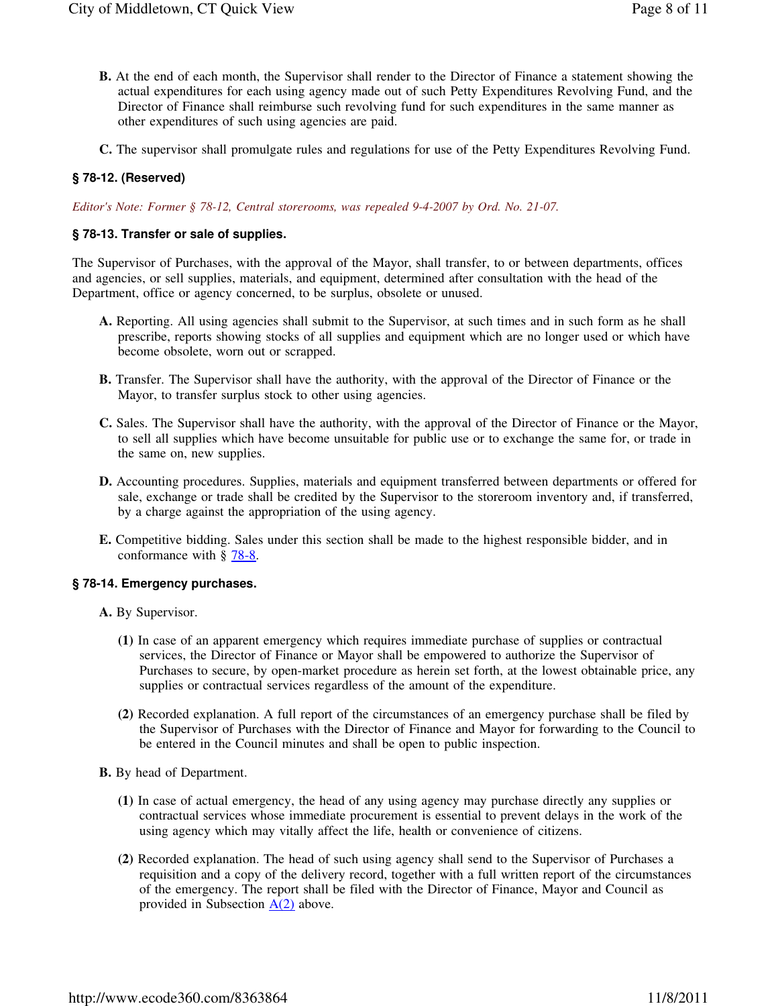- **B.** At the end of each month, the Supervisor shall render to the Director of Finance a statement showing the actual expenditures for each using agency made out of such Petty Expenditures Revolving Fund, and the Director of Finance shall reimburse such revolving fund for such expenditures in the same manner as other expenditures of such using agencies are paid.
- **C.** The supervisor shall promulgate rules and regulations for use of the Petty Expenditures Revolving Fund.

## **§ 78-12. (Reserved)**

*Editor's Note: Former § 78-12, Central storerooms, was repealed 9-4-2007 by Ord. No. 21-07.* 

## **§ 78-13. Transfer or sale of supplies.**

The Supervisor of Purchases, with the approval of the Mayor, shall transfer, to or between departments, offices and agencies, or sell supplies, materials, and equipment, determined after consultation with the head of the Department, office or agency concerned, to be surplus, obsolete or unused.

- **A.** Reporting. All using agencies shall submit to the Supervisor, at such times and in such form as he shall prescribe, reports showing stocks of all supplies and equipment which are no longer used or which have become obsolete, worn out or scrapped.
- **B.** Transfer. The Supervisor shall have the authority, with the approval of the Director of Finance or the Mayor, to transfer surplus stock to other using agencies.
- **C.** Sales. The Supervisor shall have the authority, with the approval of the Director of Finance or the Mayor, to sell all supplies which have become unsuitable for public use or to exchange the same for, or trade in the same on, new supplies.
- **D.** Accounting procedures. Supplies, materials and equipment transferred between departments or offered for sale, exchange or trade shall be credited by the Supervisor to the storeroom inventory and, if transferred, by a charge against the appropriation of the using agency.
- **E.** Competitive bidding. Sales under this section shall be made to the highest responsible bidder, and in conformance with  $\S$  78-8.

#### **§ 78-14. Emergency purchases.**

- **A.** By Supervisor.
	- **(1)** In case of an apparent emergency which requires immediate purchase of supplies or contractual services, the Director of Finance or Mayor shall be empowered to authorize the Supervisor of Purchases to secure, by open-market procedure as herein set forth, at the lowest obtainable price, any supplies or contractual services regardless of the amount of the expenditure.
	- **(2)** Recorded explanation. A full report of the circumstances of an emergency purchase shall be filed by the Supervisor of Purchases with the Director of Finance and Mayor for forwarding to the Council to be entered in the Council minutes and shall be open to public inspection.
- **B.** By head of Department.
	- **(1)** In case of actual emergency, the head of any using agency may purchase directly any supplies or contractual services whose immediate procurement is essential to prevent delays in the work of the using agency which may vitally affect the life, health or convenience of citizens.
	- **(2)** Recorded explanation. The head of such using agency shall send to the Supervisor of Purchases a requisition and a copy of the delivery record, together with a full written report of the circumstances of the emergency. The report shall be filed with the Director of Finance, Mayor and Council as provided in Subsection  $A(2)$  above.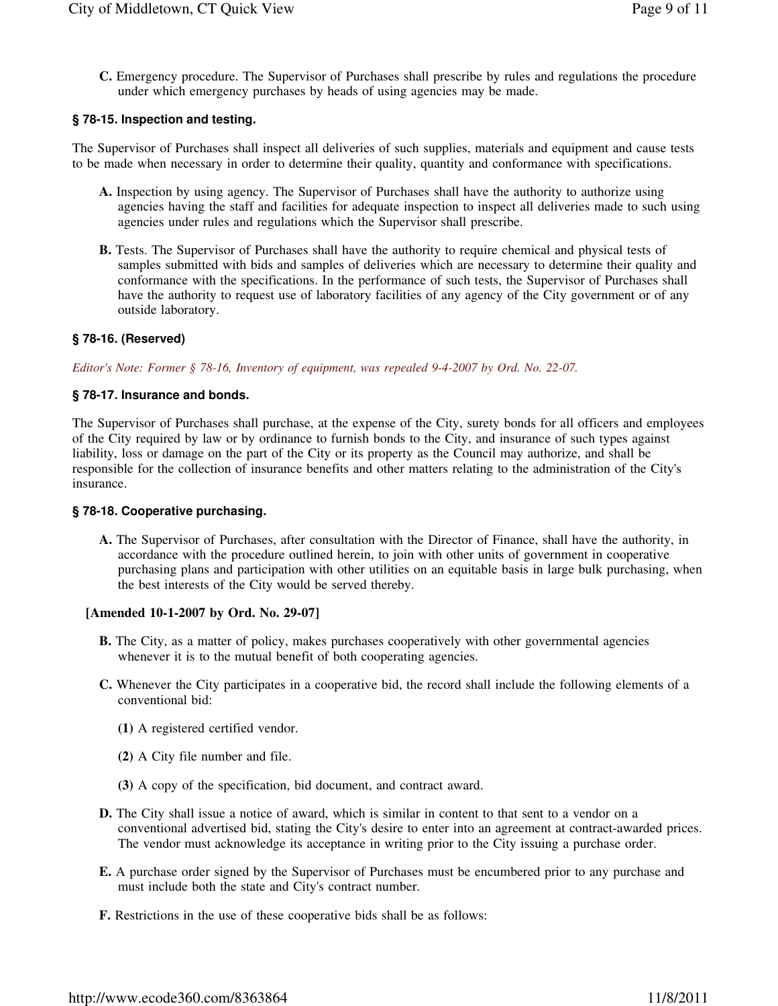**C.** Emergency procedure. The Supervisor of Purchases shall prescribe by rules and regulations the procedure under which emergency purchases by heads of using agencies may be made.

## **§ 78-15. Inspection and testing.**

The Supervisor of Purchases shall inspect all deliveries of such supplies, materials and equipment and cause tests to be made when necessary in order to determine their quality, quantity and conformance with specifications.

- **A.** Inspection by using agency. The Supervisor of Purchases shall have the authority to authorize using agencies having the staff and facilities for adequate inspection to inspect all deliveries made to such using agencies under rules and regulations which the Supervisor shall prescribe.
- **B.** Tests. The Supervisor of Purchases shall have the authority to require chemical and physical tests of samples submitted with bids and samples of deliveries which are necessary to determine their quality and conformance with the specifications. In the performance of such tests, the Supervisor of Purchases shall have the authority to request use of laboratory facilities of any agency of the City government or of any outside laboratory.

## **§ 78-16. (Reserved)**

*Editor's Note: Former § 78-16, Inventory of equipment, was repealed 9-4-2007 by Ord. No. 22-07.* 

### **§ 78-17. Insurance and bonds.**

The Supervisor of Purchases shall purchase, at the expense of the City, surety bonds for all officers and employees of the City required by law or by ordinance to furnish bonds to the City, and insurance of such types against liability, loss or damage on the part of the City or its property as the Council may authorize, and shall be responsible for the collection of insurance benefits and other matters relating to the administration of the City's insurance.

#### **§ 78-18. Cooperative purchasing.**

**A.** The Supervisor of Purchases, after consultation with the Director of Finance, shall have the authority, in accordance with the procedure outlined herein, to join with other units of government in cooperative purchasing plans and participation with other utilities on an equitable basis in large bulk purchasing, when the best interests of the City would be served thereby.

#### **[Amended 10-1-2007 by Ord. No. 29-07]**

- **B.** The City, as a matter of policy, makes purchases cooperatively with other governmental agencies whenever it is to the mutual benefit of both cooperating agencies.
- **C.** Whenever the City participates in a cooperative bid, the record shall include the following elements of a conventional bid:
	- **(1)** A registered certified vendor.
	- **(2)** A City file number and file.
	- **(3)** A copy of the specification, bid document, and contract award.
- **D.** The City shall issue a notice of award, which is similar in content to that sent to a vendor on a conventional advertised bid, stating the City's desire to enter into an agreement at contract-awarded prices. The vendor must acknowledge its acceptance in writing prior to the City issuing a purchase order.
- **E.** A purchase order signed by the Supervisor of Purchases must be encumbered prior to any purchase and must include both the state and City's contract number.
- **F.** Restrictions in the use of these cooperative bids shall be as follows: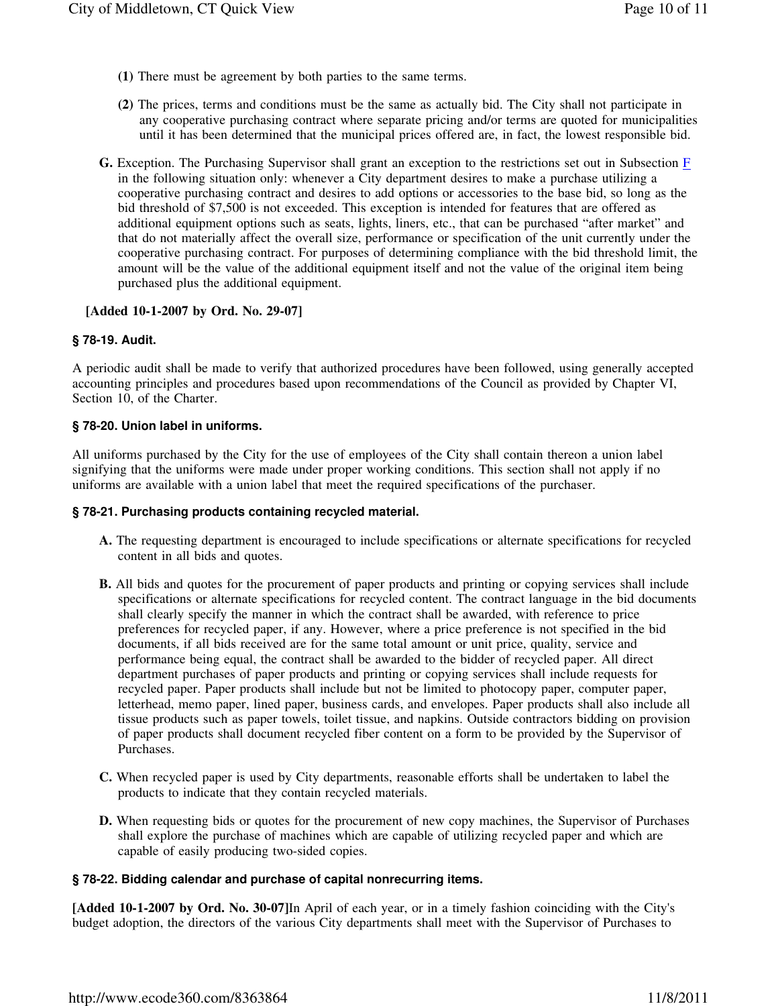- **(1)** There must be agreement by both parties to the same terms.
- **(2)** The prices, terms and conditions must be the same as actually bid. The City shall not participate in any cooperative purchasing contract where separate pricing and/or terms are quoted for municipalities until it has been determined that the municipal prices offered are, in fact, the lowest responsible bid.
- **G.** Exception. The Purchasing Supervisor shall grant an exception to the restrictions set out in Subsection F in the following situation only: whenever a City department desires to make a purchase utilizing a cooperative purchasing contract and desires to add options or accessories to the base bid, so long as the bid threshold of \$7,500 is not exceeded. This exception is intended for features that are offered as additional equipment options such as seats, lights, liners, etc., that can be purchased "after market" and that do not materially affect the overall size, performance or specification of the unit currently under the cooperative purchasing contract. For purposes of determining compliance with the bid threshold limit, the amount will be the value of the additional equipment itself and not the value of the original item being purchased plus the additional equipment.

## **[Added 10-1-2007 by Ord. No. 29-07]**

### **§ 78-19. Audit.**

A periodic audit shall be made to verify that authorized procedures have been followed, using generally accepted accounting principles and procedures based upon recommendations of the Council as provided by Chapter VI, Section 10, of the Charter.

### **§ 78-20. Union label in uniforms.**

All uniforms purchased by the City for the use of employees of the City shall contain thereon a union label signifying that the uniforms were made under proper working conditions. This section shall not apply if no uniforms are available with a union label that meet the required specifications of the purchaser.

#### **§ 78-21. Purchasing products containing recycled material.**

- **A.** The requesting department is encouraged to include specifications or alternate specifications for recycled content in all bids and quotes.
- **B.** All bids and quotes for the procurement of paper products and printing or copying services shall include specifications or alternate specifications for recycled content. The contract language in the bid documents shall clearly specify the manner in which the contract shall be awarded, with reference to price preferences for recycled paper, if any. However, where a price preference is not specified in the bid documents, if all bids received are for the same total amount or unit price, quality, service and performance being equal, the contract shall be awarded to the bidder of recycled paper. All direct department purchases of paper products and printing or copying services shall include requests for recycled paper. Paper products shall include but not be limited to photocopy paper, computer paper, letterhead, memo paper, lined paper, business cards, and envelopes. Paper products shall also include all tissue products such as paper towels, toilet tissue, and napkins. Outside contractors bidding on provision of paper products shall document recycled fiber content on a form to be provided by the Supervisor of Purchases.
- **C.** When recycled paper is used by City departments, reasonable efforts shall be undertaken to label the products to indicate that they contain recycled materials.
- **D.** When requesting bids or quotes for the procurement of new copy machines, the Supervisor of Purchases shall explore the purchase of machines which are capable of utilizing recycled paper and which are capable of easily producing two-sided copies.

#### **§ 78-22. Bidding calendar and purchase of capital nonrecurring items.**

**[Added 10-1-2007 by Ord. No. 30-07]**In April of each year, or in a timely fashion coinciding with the City's budget adoption, the directors of the various City departments shall meet with the Supervisor of Purchases to